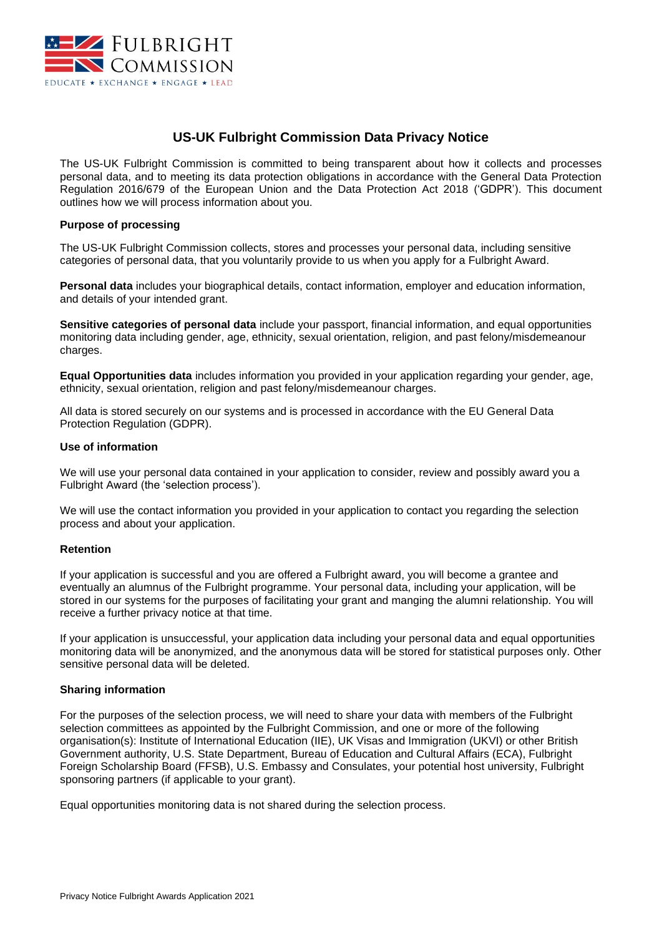

# **US-UK Fulbright Commission Data Privacy Notice**

The US-UK Fulbright Commission is committed to being transparent about how it collects and processes personal data, and to meeting its data protection obligations in accordance with the General Data Protection Regulation 2016/679 of the European Union and the Data Protection Act 2018 ('GDPR'). This document outlines how we will process information about you.

### **Purpose of processing**

The US-UK Fulbright Commission collects, stores and processes your personal data, including sensitive categories of personal data, that you voluntarily provide to us when you apply for a Fulbright Award.

**Personal data** includes your biographical details, contact information, employer and education information, and details of your intended grant.

**Sensitive categories of personal data** include your passport, financial information, and equal opportunities monitoring data including gender, age, ethnicity, sexual orientation, religion, and past felony/misdemeanour charges.

**Equal Opportunities data** includes information you provided in your application regarding your gender, age, ethnicity, sexual orientation, religion and past felony/misdemeanour charges.

All data is stored securely on our systems and is processed in accordance with the EU General Data Protection Regulation (GDPR).

### **Use of information**

We will use your personal data contained in your application to consider, review and possibly award you a Fulbright Award (the 'selection process').

We will use the contact information you provided in your application to contact you regarding the selection process and about your application.

# **Retention**

If your application is successful and you are offered a Fulbright award, you will become a grantee and eventually an alumnus of the Fulbright programme. Your personal data, including your application, will be stored in our systems for the purposes of facilitating your grant and manging the alumni relationship. You will receive a further privacy notice at that time.

If your application is unsuccessful, your application data including your personal data and equal opportunities monitoring data will be anonymized, and the anonymous data will be stored for statistical purposes only. Other sensitive personal data will be deleted.

### **Sharing information**

For the purposes of the selection process, we will need to share your data with members of the Fulbright selection committees as appointed by the Fulbright Commission, and one or more of the following organisation(s): Institute of International Education (IIE), UK Visas and Immigration (UKVI) or other British Government authority, U.S. State Department, Bureau of Education and Cultural Affairs (ECA), Fulbright Foreign Scholarship Board (FFSB), U.S. Embassy and Consulates, your potential host university, Fulbright sponsoring partners (if applicable to your grant).

Equal opportunities monitoring data is not shared during the selection process.